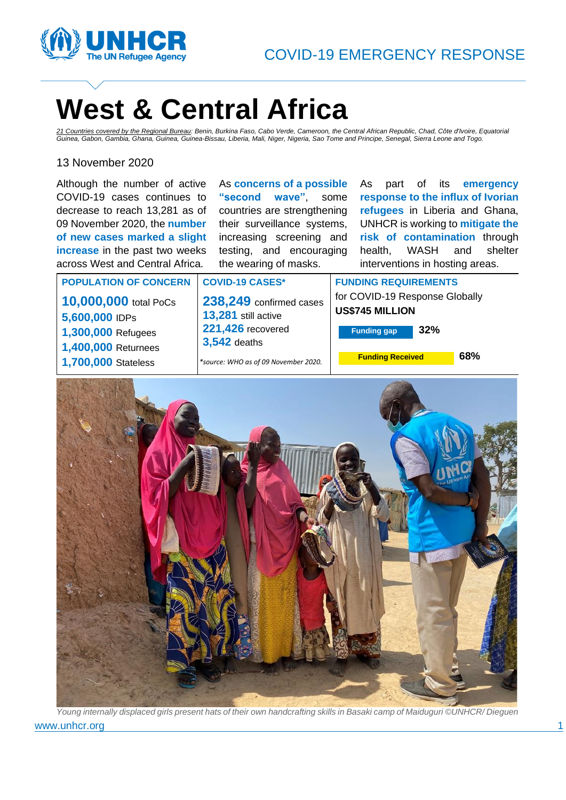



# **West & Central Africa**

*21 Countries covered by the Regional Bureau: Benin, Burkina Faso, Cabo Verde, Cameroon, the Central African Republic, Chad, Côte d'Ivoire, Equatorial Guinea, Gabon, Gambia, Ghana, Guinea, Guinea-Bissau, Liberia, Mali, Niger, Nigeria, Sao Tome and Principe, Senegal, Sierra Leone and Togo.*

## 13 November 2020

Although the number of active COVID-19 cases continues to decrease to reach 13,281 as of 09 November 2020, the **number of new cases marked a slight increase** in the past two weeks across West and Central Africa.

As **concerns of a possible "second wave"**, some countries are strengthening their surveillance systems, increasing screening and testing, and encouraging the wearing of masks.

As part of its **emergency response to the influx of Ivorian refugees** in Liberia and Ghana, UNHCR is working to **mitigate the risk of contamination** through health, WASH and shelter interventions in hosting areas.

#### **POPULATION OF CONCERN COVID-19 CASES\***

**10,000,000** total PoCs **5,600,000** IDPs **1,300,000** Refugees **1,400,000** Returnees

**1,700,000** Stateless

**238,249** confirmed cases **13,281** still active **221,426** recovered **3,542** deaths

*\*source: WHO as of 09 November 2020.*

**FUNDING REQUIREMENTS** for COVID-19 Response Globally **US\$745 MILLION** 

**Funding gap 32%**

**Funding Received 68%**



www.unhcr.org 1999 and 1999 and 1999 and 1999 and 1999 and 1999 and 1999 and 1999 and 1999 and 1999 and 1999 and 1999 and 1999 and 1999 and 1999 and 1999 and 1999 and 1999 and 1999 and 1999 and 1999 and 1999 and 1999 and 1 *Young internally displaced girls present hats of their own handcrafting skills in Basaki camp of Maiduguri ©UNHCR/ Dieguen*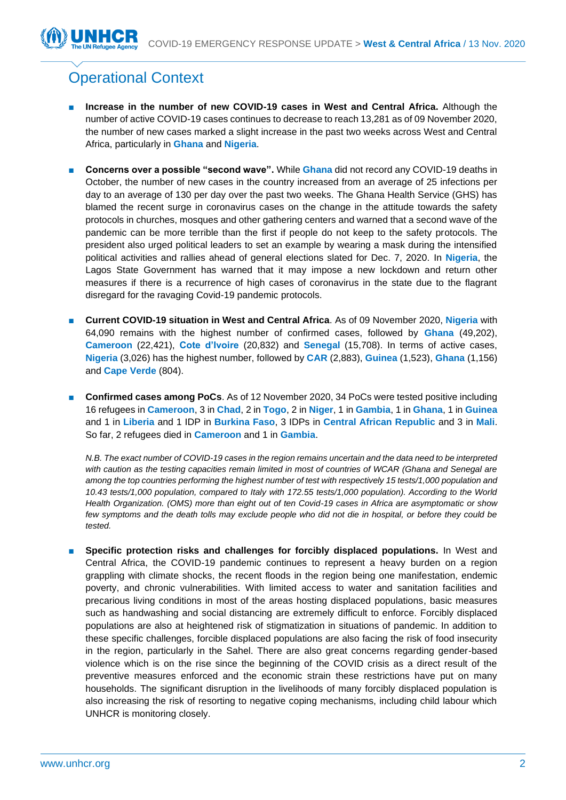# Operational Context

- **Increase in the number of new COVID-19 cases in West and Central Africa.** Although the number of active COVID-19 cases continues to decrease to reach 13,281 as of 09 November 2020, the number of new cases marked a slight increase in the past two weeks across West and Central Africa, particularly in **Ghana** and **Nigeria**.
- **Concerns over a possible "second wave".** While **Ghana** did not record any COVID-19 deaths in October, the number of new cases in the country increased from an average of 25 infections per day to an average of 130 per day over the past two weeks. The Ghana Health Service (GHS) has blamed the recent surge in coronavirus cases on the change in the attitude towards the safety protocols in churches, mosques and other gathering centers and warned that a second wave of the pandemic can be more terrible than the first if people do not keep to the safety protocols. The president also urged political leaders to set an example by wearing a mask during the intensified political activities and rallies ahead of general elections slated for Dec. 7, 2020. In **Nigeria**, the Lagos State Government has warned that it may impose a new lockdown and return other measures if there is a recurrence of high cases of coronavirus in the state due to the flagrant disregard for the ravaging Covid-19 pandemic protocols.
- **Current COVID-19 situation in West and Central Africa**. As of 09 November 2020, **Nigeria** with 64,090 remains with the highest number of confirmed cases, followed by **Ghana** (49,202), **Cameroon** (22,421), **Cote d'Ivoire** (20,832) and **Senegal** (15,708). In terms of active cases, **Nigeria** (3,026) has the highest number, followed by **CAR** (2,883), **Guinea** (1,523), **Ghana** (1,156) and **Cape Verde** (804).
- **Confirmed cases among PoCs**. As of 12 November 2020, 34 PoCs were tested positive including 16 refugees in **Cameroon**, 3 in **Chad**, 2 in **Togo**, 2 in **Niger**, 1 in **Gambia**, 1 in **Ghana**, 1 in **Guinea** and 1 in **Liberia** and 1 IDP in **Burkina Faso**, 3 IDPs in **Central African Republic** and 3 in **Mali**. So far, 2 refugees died in **Cameroon** and 1 in **Gambia**.

*N.B. The exact number of COVID-19 cases in the region remains uncertain and the data need to be interpreted with caution as the testing capacities remain limited in most of countries of WCAR (Ghana and Senegal are among the top countries performing the highest number of test with respectively 15 tests/1,000 population and 10.43 tests/1,000 population, compared to Italy with 172.55 tests/1,000 population). According to the World Health Organization. (OMS) more than eight out of ten Covid-19 cases in Africa are asymptomatic or show few symptoms and the death tolls may exclude people who did not die in hospital, or before they could be tested.* 

**Specific protection risks and challenges for forcibly displaced populations.** In West and Central Africa, the COVID-19 pandemic continues to represent a heavy burden on a region grappling with climate shocks, the recent floods in the region being one manifestation, endemic poverty, and chronic vulnerabilities. With limited access to water and sanitation facilities and precarious living conditions in most of the areas hosting displaced populations, basic measures such as handwashing and social distancing are extremely difficult to enforce. Forcibly displaced populations are also at heightened risk of stigmatization in situations of pandemic. In addition to these specific challenges, forcible displaced populations are also facing the risk of food insecurity in the region, particularly in the Sahel. There are also great concerns regarding gender-based violence which is on the rise since the beginning of the COVID crisis as a direct result of the preventive measures enforced and the economic strain these restrictions have put on many households. The significant disruption in the livelihoods of many forcibly displaced population is also increasing the risk of resorting to negative coping mechanisms, including child labour which UNHCR is monitoring closely.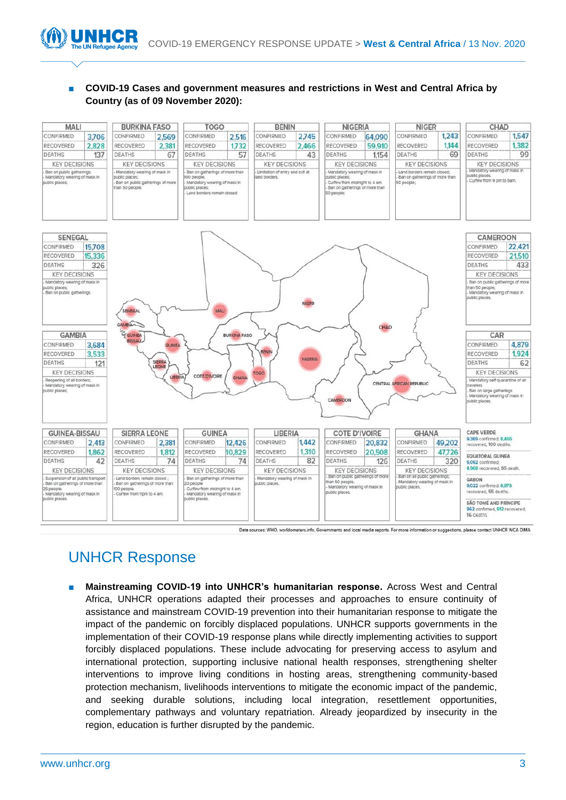### ■ COVID-19 Cases and government measures and restrictions in West and Central Africa by **Country (as of 09 November 2020):**



Data sources: WHO, worldometers.info. Governments and local media reports. For more information or suggestions, please contact UNHCR WCA DIMA

# UNHCR Response

Mainstreaming COVID-19 into UNHCR's humanitarian response. Across West and Central Africa, UNHCR operations adapted their processes and approaches to ensure continuity of assistance and mainstream COVID-19 prevention into their humanitarian response to mitigate the impact of the pandemic on forcibly displaced populations. UNHCR supports governments in the implementation of their COVID-19 response plans while directly implementing activities to support forcibly displaced populations. These include advocating for preserving access to asylum and international protection, supporting inclusive national health responses, strengthening shelter interventions to improve living conditions in hosting areas, strengthening community-based protection mechanism, livelihoods interventions to mitigate the economic impact of the pandemic, and seeking durable solutions, including local integration, resettlement opportunities, complementary pathways and voluntary repatriation. Already jeopardized by insecurity in the region, education is further disrupted by the pandemic.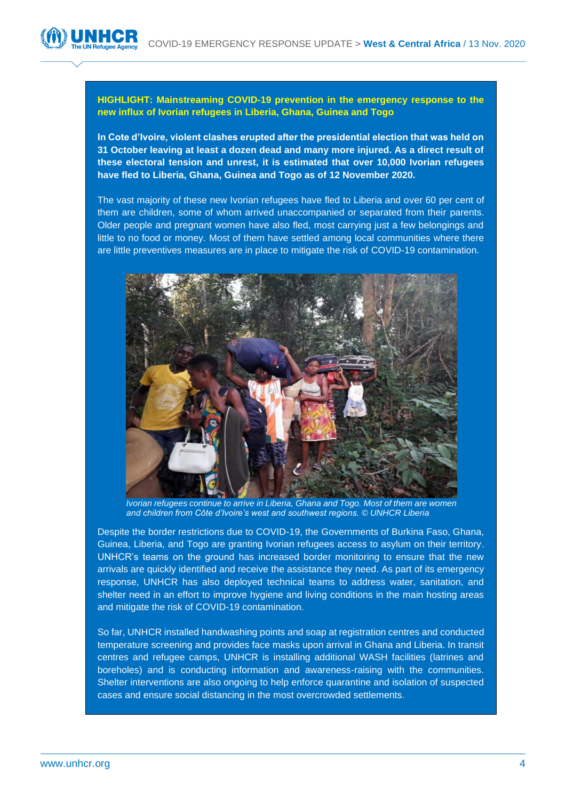#### **HIGHLIGHT: Mainstreaming COVID-19 prevention in the emergency response to the new influx of Ivorian refugees in Liberia, Ghana, Guinea and Togo**

**In Cote d'Ivoire, violent clashes erupted after the presidential election that was held on 31 October leaving at least a dozen dead and many more injured. As a direct result of these electoral tension and unrest, it is estimated that over 10,000 Ivorian refugees have fled to Liberia, Ghana, Guinea and Togo as of 12 November 2020.** 

The vast majority of these new Ivorian refugees have fled to Liberia and over 60 per cent of them are children, some of whom arrived unaccompanied or separated from their parents. Older people and pregnant women have also fled, most carrying just a few belongings and little to no food or money. Most of them have settled among local communities where there are little preventives measures are in place to mitigate the risk of COVID-19 contamination.



*Ivorian refugees continue to arrive in Liberia, Ghana and Togo. Most of them are women and children from Côte d'Ivoire's west and southwest regions. © UNHCR Liberia*

Despite the border restrictions due to COVID-19, the Governments of Burkina Faso, Ghana, Guinea, Liberia, and Togo are granting Ivorian refugees access to asylum on their territory. UNHCR's teams on the ground has increased border monitoring to ensure that the new arrivals are quickly identified and receive the assistance they need. As part of its emergency response, UNHCR has also deployed technical teams to address water, sanitation, and shelter need in an effort to improve hygiene and living conditions in the main hosting areas and mitigate the risk of COVID-19 contamination.

So far, UNHCR installed handwashing points and soap at registration centres and conducted temperature screening and provides face masks upon arrival in Ghana and Liberia. In transit centres and refugee camps, UNHCR is installing additional WASH facilities (latrines and boreholes) and is conducting information and awareness-raising with the communities. Shelter interventions are also ongoing to help enforce quarantine and isolation of suspected cases and ensure social distancing in the most overcrowded settlements.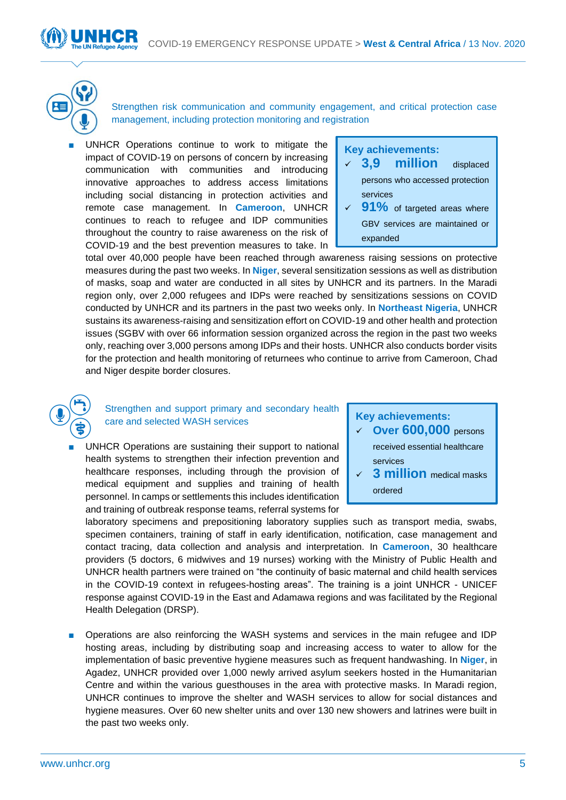Strengthen risk communication and community engagement, and critical protection case management, including protection monitoring and registration

UNHCR Operations continue to work to mitigate the impact of COVID-19 on persons of concern by increasing communication with communities and introducing innovative approaches to address access limitations including social distancing in protection activities and remote case management. In **Cameroon**, UNHCR continues to reach to refugee and IDP communities throughout the country to raise awareness on the risk of COVID-19 and the best prevention measures to take. In

## **Key achievements:**

- ✓ **3,9 million** displaced persons who accessed protection services
- ✓ **91%** of targeted areas where GBV services are maintained or expanded

total over 40,000 people have been reached through awareness raising sessions on protective measures during the past two weeks. In **Niger**, several sensitization sessions as well as distribution of masks, soap and water are conducted in all sites by UNHCR and its partners. In the Maradi region only, over 2,000 refugees and IDPs were reached by sensitizations sessions on COVID conducted by UNHCR and its partners in the past two weeks only. In **Northeast Nigeria**, UNHCR sustains its awareness-raising and sensitization effort on COVID-19 and other health and protection issues (SGBV with over 66 information session organized across the region in the past two weeks only, reaching over 3,000 persons among IDPs and their hosts. UNHCR also conducts border visits for the protection and health monitoring of returnees who continue to arrive from Cameroon, Chad and Niger despite border closures.



Strengthen and support primary and secondary health care and selected WASH services

UNHCR Operations are sustaining their support to national health systems to strengthen their infection prevention and healthcare responses, including through the provision of medical equipment and supplies and training of health personnel. In camps or settlements this includes identification and training of outbreak response teams, referral systems for

#### **Key achievements:**

- ✓ **Over 600,000** persons received essential healthcare services
- ✓ **3 million** medical masks ordered

laboratory specimens and prepositioning laboratory supplies such as transport media, swabs, specimen containers, training of staff in early identification, notification, case management and contact tracing, data collection and analysis and interpretation. In **Cameroon**, 30 healthcare providers (5 doctors, 6 midwives and 19 nurses) working with the Ministry of Public Health and UNHCR health partners were trained on "the continuity of basic maternal and child health services in the COVID-19 context in refugees-hosting areas". The training is a joint UNHCR - UNICEF response against COVID-19 in the East and Adamawa regions and was facilitated by the Regional Health Delegation (DRSP).

■ Operations are also reinforcing the WASH systems and services in the main refugee and IDP hosting areas, including by distributing soap and increasing access to water to allow for the implementation of basic preventive hygiene measures such as frequent handwashing. In **Niger**, in Agadez, UNHCR provided over 1,000 newly arrived asylum seekers hosted in the Humanitarian Centre and within the various guesthouses in the area with protective masks. In Maradi region, UNHCR continues to improve the shelter and WASH services to allow for social distances and hygiene measures. Over 60 new shelter units and over 130 new showers and latrines were built in the past two weeks only.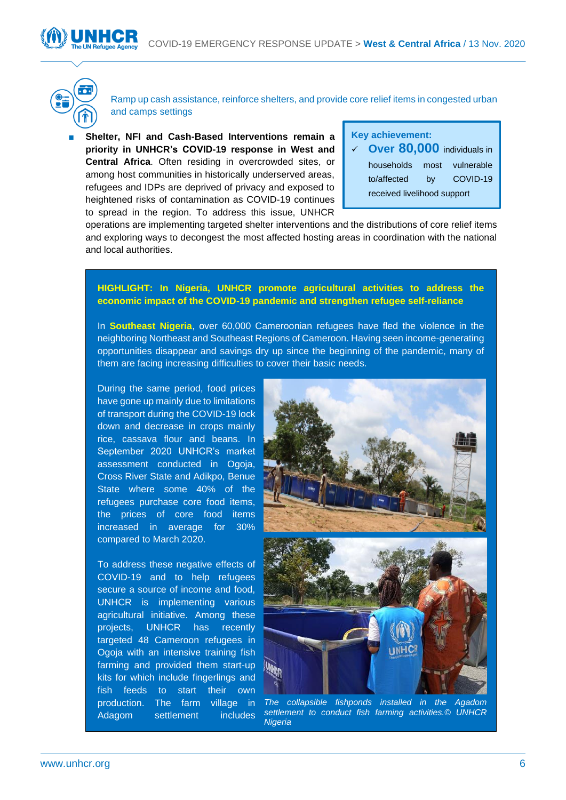



Ramp up cash assistance, reinforce shelters, and provide core relief items in congested urban and camps settings

**Shelter, NFI and Cash-Based Interventions remain a priority in UNHCR's COVID-19 response in West and Central Africa**. Often residing in overcrowded sites, or among host communities in historically underserved areas, refugees and IDPs are deprived of privacy and exposed to heightened risks of contamination as COVID-19 continues to spread in the region. To address this issue, UNHCR

## **Key achievement:**

✓ **Over 80,000** individuals in households most vulnerable to/affected by COVID-19 received livelihood support

operations are implementing targeted shelter interventions and the distributions of core relief items and exploring ways to decongest the most affected hosting areas in coordination with the national and local authorities.

#### **HIGHLIGHT: In Nigeria, UNHCR promote agricultural activities to address the economic impact of the COVID-19 pandemic and strengthen refugee self-reliance**

In **Southeast Nigeria**, over 60,000 Cameroonian refugees have fled the violence in the neighboring Northeast and Southeast Regions of Cameroon. Having seen income-generating opportunities disappear and savings dry up since the beginning of the pandemic, many of them are facing increasing difficulties to cover their basic needs.

During the same period, food prices have gone up mainly due to limitations of transport during the COVID-19 lock down and decrease in crops mainly rice, cassava flour and beans. In September 2020 UNHCR's market assessment conducted in Ogoja, Cross River State and Adikpo, Benue State where some 40% of the refugees purchase core food items, the prices of core food items increased in average for 30% compared to March 2020.

To address these negative effects of COVID-19 and to help refugees secure a source of income and food, UNHCR is implementing various agricultural initiative. Among these projects, UNHCR has recently targeted 48 Cameroon refugees in Ogoja with an intensive training fish farming and provided them start-up kits for which include fingerlings and fish feeds to start their own production. The farm village in Adagom settlement includes



*The collapsible fishponds installed in the Agadom settlement to conduct fish farming activities.© UNHCR Nigeria*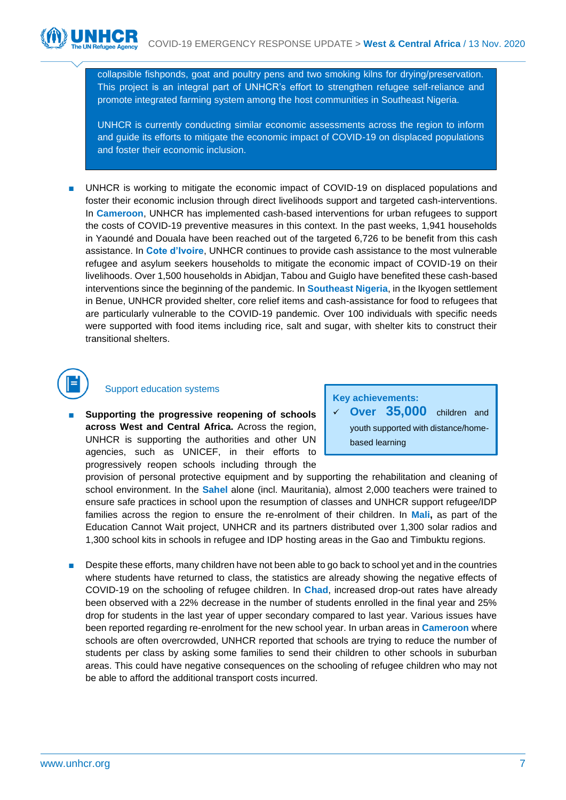collapsible fishponds, goat and poultry pens and two smoking kilns for drying/preservation. This project is an integral part of UNHCR's effort to strengthen refugee self-reliance and promote integrated farming system among the host communities in Southeast Nigeria.

UNHCR is currently conducting similar economic assessments across the region to inform and guide its efforts to mitigate the economic impact of COVID-19 on displaced populations and foster their economic inclusion.

UNHCR is working to mitigate the economic impact of COVID-19 on displaced populations and foster their economic inclusion through direct livelihoods support and targeted cash-interventions. In **Cameroon**, UNHCR has implemented cash-based interventions for urban refugees to support the costs of COVID-19 preventive measures in this context. In the past weeks, 1,941 households in Yaoundé and Douala have been reached out of the targeted 6,726 to be benefit from this cash assistance. In **Cote d'Ivoire**, UNHCR continues to provide cash assistance to the most vulnerable refugee and asylum seekers households to mitigate the economic impact of COVID-19 on their livelihoods. Over 1,500 households in Abidjan, Tabou and Guiglo have benefited these cash-based interventions since the beginning of the pandemic. In **Southeast Nigeria**, in the Ikyogen settlement in Benue, UNHCR provided shelter, core relief items and cash-assistance for food to refugees that are particularly vulnerable to the COVID-19 pandemic. Over 100 individuals with specific needs were supported with food items including rice, salt and sugar, with shelter kits to construct their transitional shelters.

# Support education systems

Supporting the progressive reopening of schools **across West and Central Africa.** Across the region, UNHCR is supporting the authorities and other UN agencies, such as UNICEF, in their efforts to progressively reopen schools including through the

**Key achievements:** 

✓ **Over 35,000** children and youth supported with distance/homebased learning

provision of personal protective equipment and by supporting the rehabilitation and cleaning of school environment. In the **Sahel** alone (incl. Mauritania), almost 2,000 teachers were trained to ensure safe practices in school upon the resumption of classes and UNHCR support refugee/IDP families across the region to ensure the re-enrolment of their children. In **Mali,** as part of the Education Cannot Wait project, UNHCR and its partners distributed over 1,300 solar radios and 1,300 school kits in schools in refugee and IDP hosting areas in the Gao and Timbuktu regions.

Despite these efforts, many children have not been able to go back to school yet and in the countries where students have returned to class, the statistics are already showing the negative effects of COVID-19 on the schooling of refugee children. In **Chad**, increased drop-out rates have already been observed with a 22% decrease in the number of students enrolled in the final year and 25% drop for students in the last year of upper secondary compared to last year. Various issues have been reported regarding re-enrolment for the new school year. In urban areas in **Cameroon** where schools are often overcrowded, UNHCR reported that schools are trying to reduce the number of students per class by asking some families to send their children to other schools in suburban areas. This could have negative consequences on the schooling of refugee children who may not be able to afford the additional transport costs incurred.